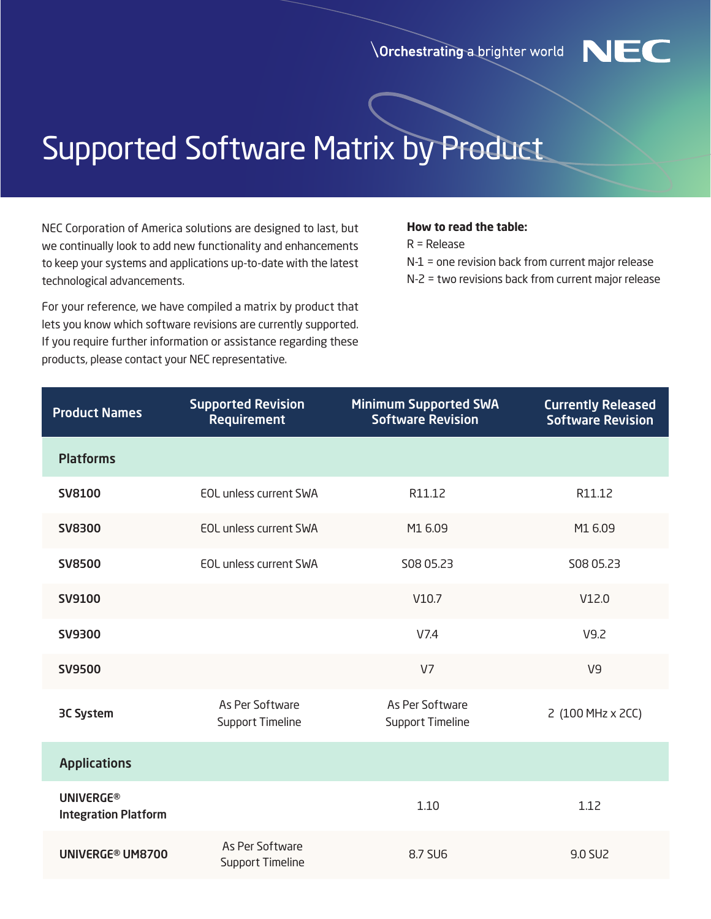**Orchestrating a brighter world** 



## Supported Software Matrix by Product

NEC Corporation of America solutions are designed to last, but we continually look to add new functionality and enhancements to keep your systems and applications up-to-date with the latest technological advancements.

For your reference, we have compiled a matrix by product that lets you know which software revisions are currently supported. If you require further information or assistance regarding these products, please contact your NEC representative.

## **How to read the table:**

R = Release

- N-1 = one revision back from current major release
- N-2 = two revisions back from current major release

| <b>Product Names</b>                            | <b>Supported Revision</b><br><b>Requirement</b> | <b>Minimum Supported SWA</b><br><b>Software Revision</b> | <b>Currently Released</b><br><b>Software Revision</b> |
|-------------------------------------------------|-------------------------------------------------|----------------------------------------------------------|-------------------------------------------------------|
| <b>Platforms</b>                                |                                                 |                                                          |                                                       |
| <b>SV8100</b>                                   | <b>EOL unless current SWA</b>                   | R11.12                                                   | R11.12                                                |
| <b>SV8300</b>                                   | <b>EOL unless current SWA</b>                   | M1 6.09                                                  | M1 6.09                                               |
| <b>SV8500</b>                                   | <b>EOL unless current SWA</b>                   | S08 05.23                                                | S08 05.23                                             |
| <b>SV9100</b>                                   |                                                 | V10.7                                                    | V12.0                                                 |
| <b>SV9300</b>                                   |                                                 | V7.4                                                     | V9.2                                                  |
| <b>SV9500</b>                                   |                                                 | V <sub>7</sub>                                           | V9                                                    |
| <b>3C System</b>                                | As Per Software<br><b>Support Timeline</b>      | As Per Software<br>Support Timeline                      | 2 (100 MHz x 2CC)                                     |
| <b>Applications</b>                             |                                                 |                                                          |                                                       |
| <b>UNIVERGE®</b><br><b>Integration Platform</b> |                                                 | 1.10                                                     | 1.12                                                  |
| UNIVERGE® UM8700                                | As Per Software<br><b>Support Timeline</b>      | 8.7 SU6                                                  | 9.0 SU2                                               |